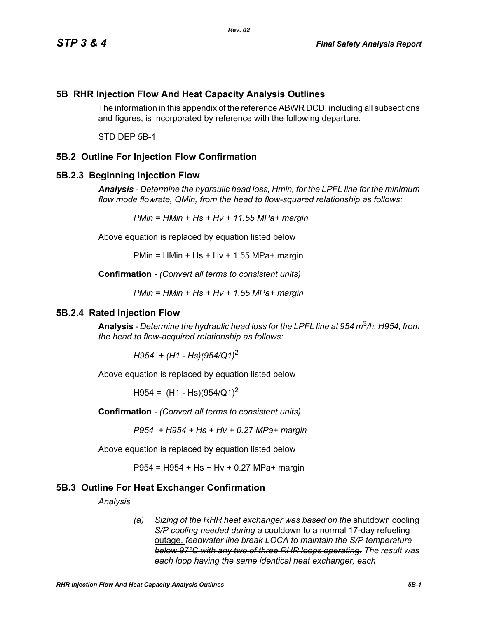# **5B RHR Injection Flow And Heat Capacity Analysis Outlines**

The information in this appendix of the reference ABWR DCD, including all subsections and figures, is incorporated by reference with the following departure.

STD DEP 5B-1

# **5B.2 Outline For Injection Flow Confirmation**

### **5B.2.3 Beginning Injection Flow**

*Analysis - Determine the hydraulic head loss, Hmin, for the LPFL line for the minimum flow mode flowrate, QMin, from the head to flow-squared relationship as follows:*

*PMin = HMin + Hs + Hv + 11.55 MPa+ margin*

Above equation is replaced by equation listed below

 $PMin = HMin + Hs + Hv + 1.55 MPa + margin$ 

**Confirmation** *- (Convert all terms to consistent units)*

*PMin = HMin + Hs + Hv + 1.55 MPa+ margin*

#### **5B.2.4 Rated Injection Flow**

**Analysis** *- Determine the hydraulic head loss for the LPFL line at 954 m*3*/h, H954, from the head to flow-acquired relationship as follows:*

*H954 + (H1 - Hs)(954/Q1)*<sup>2</sup>

Above equation is replaced by equation listed below

 $H954 = (H1 - Hs)(954/Q1)^2$ 

**Confirmation** *- (Convert all terms to consistent units)*

*P954 + H954 + Hs + Hv + 0.27 MPa+ margin*

Above equation is replaced by equation listed below

P954 = H954 + Hs + Hv + 0.27 MPa+ margin

### **5B.3 Outline For Heat Exchanger Confirmation**

*Analysis*

*(a) Sizing of the RHR heat exchanger was based on the* shutdown cooling *S/P cooling needed during a* cooldown to a normal 17-day refueling outage. *feedwater line break LOCA to maintain the S/P temperature below 97°C with any two of three RHR loops operating. The result was each loop having the same identical heat exchanger, each*